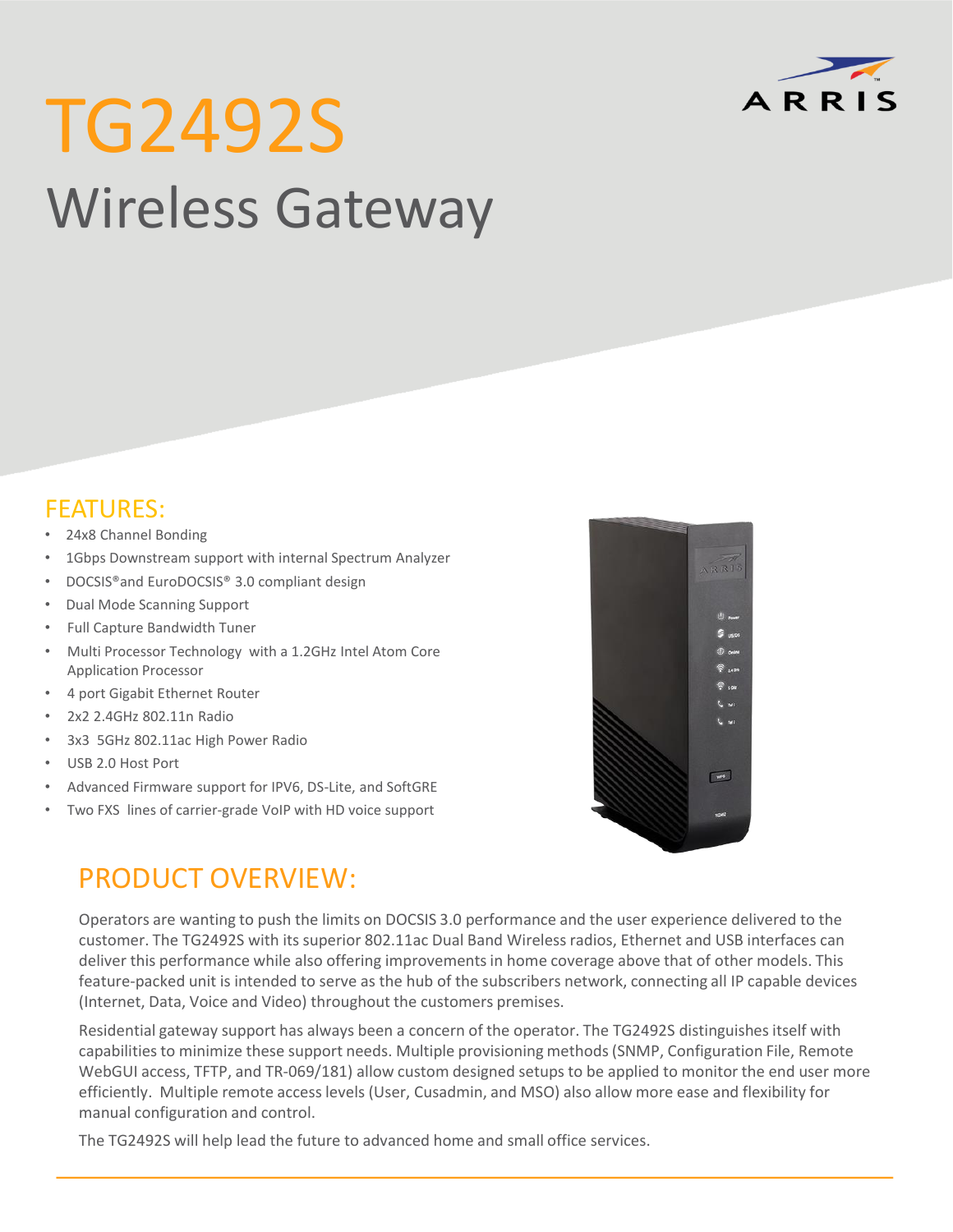

# TG2492S Wireless Gateway

### FEATURES:

- 24x8 Channel Bonding
- 1Gbps Downstream support with internal Spectrum Analyzer
- DOCSIS®and EuroDOCSIS® 3.0 compliant design
- Dual Mode Scanning Support
- Full Capture Bandwidth Tuner
- Multi Processor Technology with a 1.2GHz Intel Atom Core Application Processor
- 4 port Gigabit Ethernet Router
- 2x2 2.4GHz 802.11n Radio
- 3x3 5GHz 802.11ac High Power Radio
- USB 2.0 Host Port
- Advanced Firmware support for IPV6, DS-Lite, and SoftGRE
- Two FXS lines of carrier-grade VoIP with HD voice support



## PRODUCT OVERVIEW:

Operators are wanting to push the limits on DOCSIS 3.0 performance and the user experience delivered to the customer. The TG2492S with its superior 802.11ac Dual Band Wireless radios, Ethernet and USB interfaces can deliver this performance while also offering improvements in home coverage above that of other models. This feature-packed unit is intended to serve as the hub of the subscribers network, connecting all IP capable devices (Internet, Data, Voice and Video) throughout the customers premises.

Residential gateway support has always been a concern of the operator. The TG2492S distinguishes itself with capabilities to minimize these support needs. Multiple provisioning methods (SNMP, Configuration File, Remote WebGUI access, TFTP, and TR-069/181) allow custom designed setups to be applied to monitor the end user more efficiently. Multiple remote access levels (User, Cusadmin, and MSO) also allow more ease and flexibility for manual configuration and control.

The TG2492S will help lead the future to advanced home and small office services.